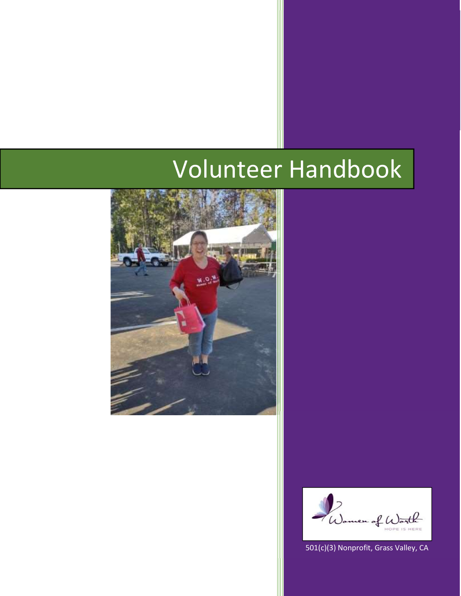# Volunteer Handbook



n of Worth  $\overline{a}$ 

501(c)(3) Nonprofit, Grass Valley, CA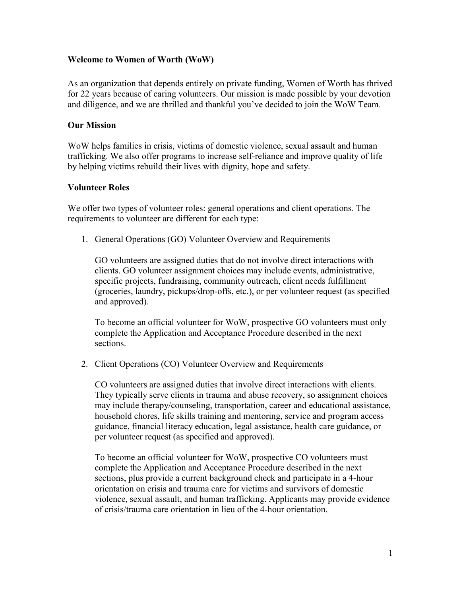## Welcome to Women of Worth (WoW)

As an organization that depends entirely on private funding, Women of Worth has thrived for 22 years because of caring volunteers. Our mission is made possible by your devotion and diligence, and we are thrilled and thankful you've decided to join the WoW Team.

## Our Mission

WoW helps families in crisis, victims of domestic violence, sexual assault and human trafficking. We also offer programs to increase self-reliance and improve quality of life by helping victims rebuild their lives with dignity, hope and safety.

## Volunteer Roles

We offer two types of volunteer roles: general operations and client operations. The requirements to volunteer are different for each type:

1. General Operations (GO) Volunteer Overview and Requirements

GO volunteers are assigned duties that do not involve direct interactions with clients. GO volunteer assignment choices may include events, administrative, specific projects, fundraising, community outreach, client needs fulfillment (groceries, laundry, pickups/drop-offs, etc.), or per volunteer request (as specified and approved).

To become an official volunteer for WoW, prospective GO volunteers must only complete the Application and Acceptance Procedure described in the next sections.

2. Client Operations (CO) Volunteer Overview and Requirements

CO volunteers are assigned duties that involve direct interactions with clients. They typically serve clients in trauma and abuse recovery, so assignment choices may include therapy/counseling, transportation, career and educational assistance, household chores, life skills training and mentoring, service and program access guidance, financial literacy education, legal assistance, health care guidance, or per volunteer request (as specified and approved).

To become an official volunteer for WoW, prospective CO volunteers must complete the Application and Acceptance Procedure described in the next sections, plus provide a current background check and participate in a 4-hour orientation on crisis and trauma care for victims and survivors of domestic violence, sexual assault, and human trafficking. Applicants may provide evidence of crisis/trauma care orientation in lieu of the 4-hour orientation.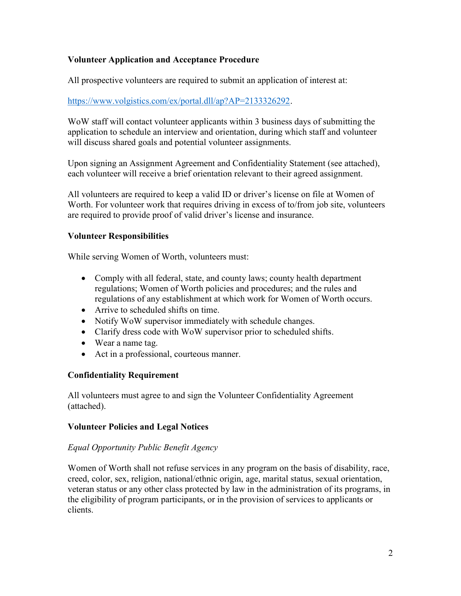# Volunteer Application and Acceptance Procedure

All prospective volunteers are required to submit an application of interest at:

# https://www.volgistics.com/ex/portal.dll/ap?AP=2133326292.

WoW staff will contact volunteer applicants within 3 business days of submitting the application to schedule an interview and orientation, during which staff and volunteer will discuss shared goals and potential volunteer assignments.

Upon signing an Assignment Agreement and Confidentiality Statement (see attached), each volunteer will receive a brief orientation relevant to their agreed assignment.

All volunteers are required to keep a valid ID or driver's license on file at Women of Worth. For volunteer work that requires driving in excess of to/from job site, volunteers are required to provide proof of valid driver's license and insurance.

## Volunteer Responsibilities

While serving Women of Worth, volunteers must:

- Comply with all federal, state, and county laws; county health department regulations; Women of Worth policies and procedures; and the rules and regulations of any establishment at which work for Women of Worth occurs.
- Arrive to scheduled shifts on time.
- Notify WoW supervisor immediately with schedule changes.
- Clarify dress code with WoW supervisor prior to scheduled shifts.
- Wear a name tag.
- Act in a professional, courteous manner.

# Confidentiality Requirement

All volunteers must agree to and sign the Volunteer Confidentiality Agreement (attached).

#### Volunteer Policies and Legal Notices

#### Equal Opportunity Public Benefit Agency

Women of Worth shall not refuse services in any program on the basis of disability, race, creed, color, sex, religion, national/ethnic origin, age, marital status, sexual orientation, veteran status or any other class protected by law in the administration of its programs, in the eligibility of program participants, or in the provision of services to applicants or clients.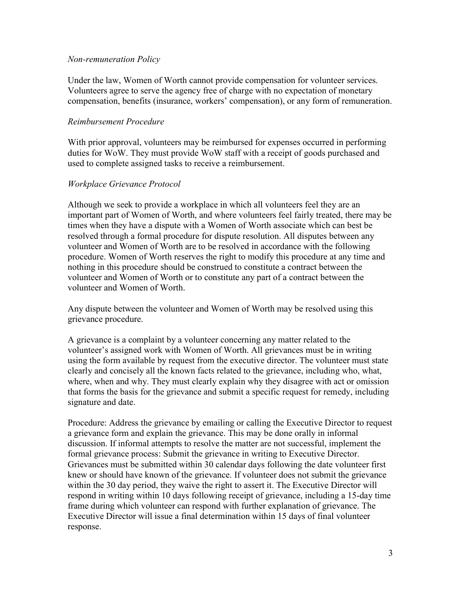#### Non-remuneration Policy

Under the law, Women of Worth cannot provide compensation for volunteer services. Volunteers agree to serve the agency free of charge with no expectation of monetary compensation, benefits (insurance, workers' compensation), or any form of remuneration.

## Reimbursement Procedure

With prior approval, volunteers may be reimbursed for expenses occurred in performing duties for WoW. They must provide WoW staff with a receipt of goods purchased and used to complete assigned tasks to receive a reimbursement.

## Workplace Grievance Protocol

Although we seek to provide a workplace in which all volunteers feel they are an important part of Women of Worth, and where volunteers feel fairly treated, there may be times when they have a dispute with a Women of Worth associate which can best be resolved through a formal procedure for dispute resolution. All disputes between any volunteer and Women of Worth are to be resolved in accordance with the following procedure. Women of Worth reserves the right to modify this procedure at any time and nothing in this procedure should be construed to constitute a contract between the volunteer and Women of Worth or to constitute any part of a contract between the volunteer and Women of Worth.

Any dispute between the volunteer and Women of Worth may be resolved using this grievance procedure.

A grievance is a complaint by a volunteer concerning any matter related to the volunteer's assigned work with Women of Worth. All grievances must be in writing using the form available by request from the executive director. The volunteer must state clearly and concisely all the known facts related to the grievance, including who, what, where, when and why. They must clearly explain why they disagree with act or omission that forms the basis for the grievance and submit a specific request for remedy, including signature and date.

Procedure: Address the grievance by emailing or calling the Executive Director to request a grievance form and explain the grievance. This may be done orally in informal discussion. If informal attempts to resolve the matter are not successful, implement the formal grievance process: Submit the grievance in writing to Executive Director. Grievances must be submitted within 30 calendar days following the date volunteer first knew or should have known of the grievance. If volunteer does not submit the grievance within the 30 day period, they waive the right to assert it. The Executive Director will respond in writing within 10 days following receipt of grievance, including a 15-day time frame during which volunteer can respond with further explanation of grievance. The Executive Director will issue a final determination within 15 days of final volunteer response.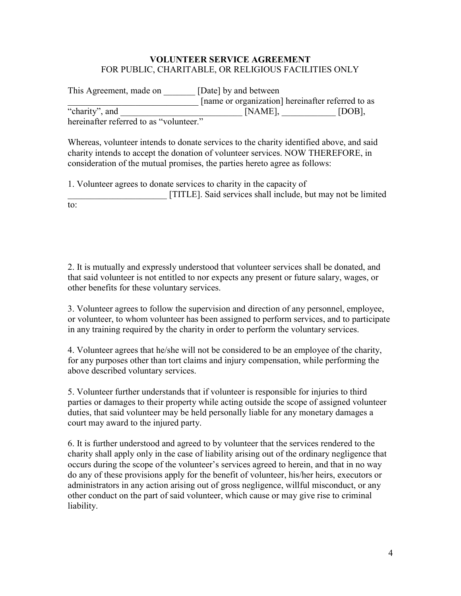# VOLUNTEER SERVICE AGREEMENT FOR PUBLIC, CHARITABLE, OR RELIGIOUS FACILITIES ONLY

| This Agreement, made on                 | [Date] by and between                             |        |
|-----------------------------------------|---------------------------------------------------|--------|
|                                         | [name or organization] hereinafter referred to as |        |
| "charity", and                          | [NAME],                                           | [DOB], |
| hereinafter referred to as "volunteer." |                                                   |        |

Whereas, volunteer intends to donate services to the charity identified above, and said charity intends to accept the donation of volunteer services. NOW THEREFORE, in

consideration of the mutual promises, the parties hereto agree as follows:

1. Volunteer agrees to donate services to charity in the capacity of [TITLE]. Said services shall include, but may not be limited to:

2. It is mutually and expressly understood that volunteer services shall be donated, and that said volunteer is not entitled to nor expects any present or future salary, wages, or other benefits for these voluntary services.

3. Volunteer agrees to follow the supervision and direction of any personnel, employee, or volunteer, to whom volunteer has been assigned to perform services, and to participate in any training required by the charity in order to perform the voluntary services.

4. Volunteer agrees that he/she will not be considered to be an employee of the charity, for any purposes other than tort claims and injury compensation, while performing the above described voluntary services.

5. Volunteer further understands that if volunteer is responsible for injuries to third parties or damages to their property while acting outside the scope of assigned volunteer duties, that said volunteer may be held personally liable for any monetary damages a court may award to the injured party.

6. It is further understood and agreed to by volunteer that the services rendered to the charity shall apply only in the case of liability arising out of the ordinary negligence that occurs during the scope of the volunteer's services agreed to herein, and that in no way do any of these provisions apply for the benefit of volunteer, his/her heirs, executors or administrators in any action arising out of gross negligence, willful misconduct, or any other conduct on the part of said volunteer, which cause or may give rise to criminal liability.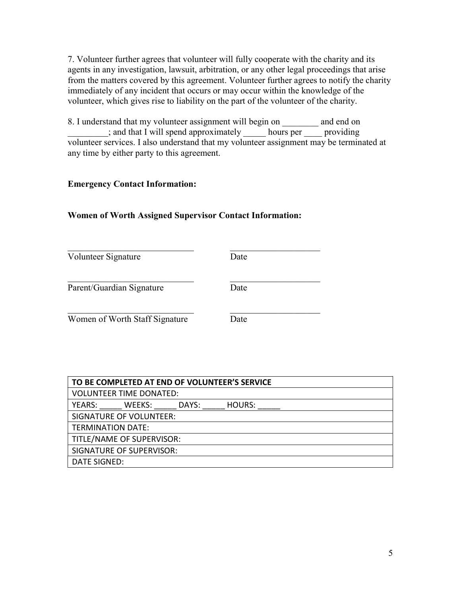7. Volunteer further agrees that volunteer will fully cooperate with the charity and its agents in any investigation, lawsuit, arbitration, or any other legal proceedings that arise from the matters covered by this agreement. Volunteer further agrees to notify the charity immediately of any incident that occurs or may occur within the knowledge of the volunteer, which gives rise to liability on the part of the volunteer of the charity.

8. I understand that my volunteer assignment will begin on \_\_\_\_\_\_\_\_ and end on \_\_\_\_\_\_\_\_\_; and that I will spend approximately \_\_\_\_\_ hours per \_\_\_\_ providing volunteer services. I also understand that my volunteer assignment may be terminated at any time by either party to this agreement.

# Emergency Contact Information:

## Women of Worth Assigned Supervisor Contact Information:

| Volunteer Signature            | Date |
|--------------------------------|------|
| Parent/Guardian Signature      | Date |
| Women of Worth Staff Signature | Date |

| TO BE COMPLETED AT END OF VOLUNTEER'S SERVICE |  |  |
|-----------------------------------------------|--|--|
| <b>VOLUNTEER TIME DONATED:</b>                |  |  |
| YEARS:<br>HOURS:<br>WEEKS:<br>DAYS:           |  |  |
| <b>SIGNATURE OF VOLUNTEER:</b>                |  |  |
| <b>TERMINATION DATE:</b>                      |  |  |
| TITLE/NAME OF SUPERVISOR:                     |  |  |
| SIGNATURE OF SUPERVISOR:                      |  |  |
| <b>DATE SIGNED:</b>                           |  |  |